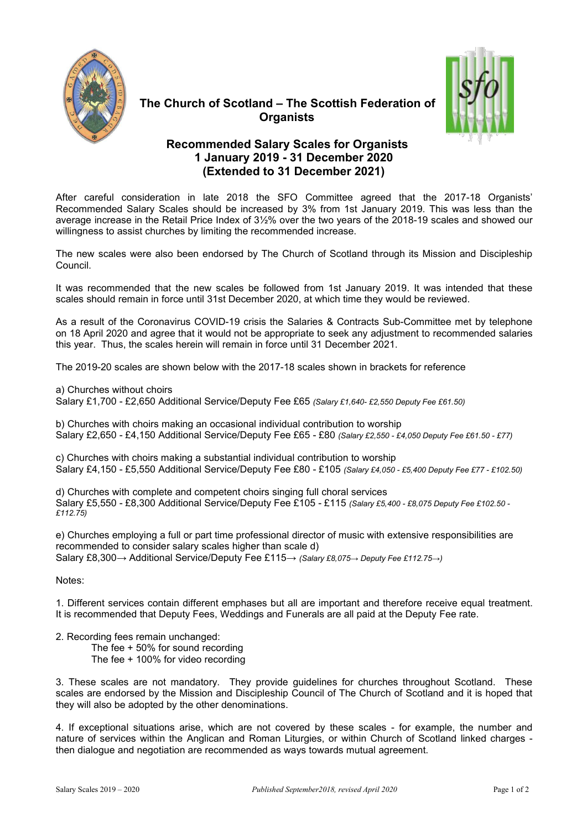



## **The Church of Scotland – The Scottish Federation of Organists**

## **Recommended Salary Scales for Organists 1 January 2019 - 31 December 2020 (Extended to 31 December 2021)**

After careful consideration in late 2018 the SFO Committee agreed that the 2017-18 Organists' Recommended Salary Scales should be increased by 3% from 1st January 2019. This was less than the average increase in the Retail Price Index of 3½% over the two years of the 2018-19 scales and showed our willingness to assist churches by limiting the recommended increase.

The new scales were also been endorsed by The Church of Scotland through its Mission and Discipleship Council.

It was recommended that the new scales be followed from 1st January 2019. It was intended that these scales should remain in force until 31st December 2020, at which time they would be reviewed.

As a result of the Coronavirus COVID-19 crisis the Salaries & Contracts Sub-Committee met by telephone on 18 April 2020 and agree that it would not be appropriate to seek any adjustment to recommended salaries this year. Thus, the scales herein will remain in force until 31 December 2021.

The 2019-20 scales are shown below with the 2017-18 scales shown in brackets for reference

a) Churches without choirs

Salary £1,700 - £2,650 Additional Service/Deputy Fee £65 *(Salary £1,640- £2,550 Deputy Fee £61.50)*

b) Churches with choirs making an occasional individual contribution to worship Salary £2,650 - £4,150 Additional Service/Deputy Fee £65 - £80 *(Salary£2,550 - £4,050 Deputy Fee £61.50 - £77)*

c) Churches with choirs making a substantial individual contribution to worship Salary £4,150 - £5,550 Additional Service/Deputy Fee £80 - £105 *(Salary £4,050 - £5,400 Deputy Fee £77 - £102.50)*

d) Churches with complete and competent choirs singing full choral services Salary £5,550 - £8,300 Additional Service/Deputy Fee £105 - £115 *(Salary£5,400 - £8,075 Deputy Fee £102.50 - £112.75)*

e) Churches employing a full or part time professional director of music with extensive responsibilities are recommended to consider salary scales higher than scale d) Salary £8,300→ Additional Service/Deputy Fee £115→ *(Salary £8,075→ Deputy Fee £112.75→)*

Notes:

1. Different services contain different emphases but all are important and therefore receive equaltreatment. It is recommended that Deputy Fees, Weddings and Funerals are all paid at the Deputy Fee rate.

- 2. Recording fees remain unchanged:
	- The fee + 50% for sound recording
	- The fee + 100% for video recording

3. These scales are not mandatory. They provide guidelines for churches throughout Scotland. These scales are endorsed by the Mission and Discipleship Council of The Church of Scotland and it is hoped that they will also be adopted by the other denominations.

4. If exceptional situations arise, which are not covered by these scales - for example, the number and nature of services within the Anglican and Roman Liturgies, or within Church of Scotland linked charges then dialogue and negotiation are recommended as ways towards mutual agreement.